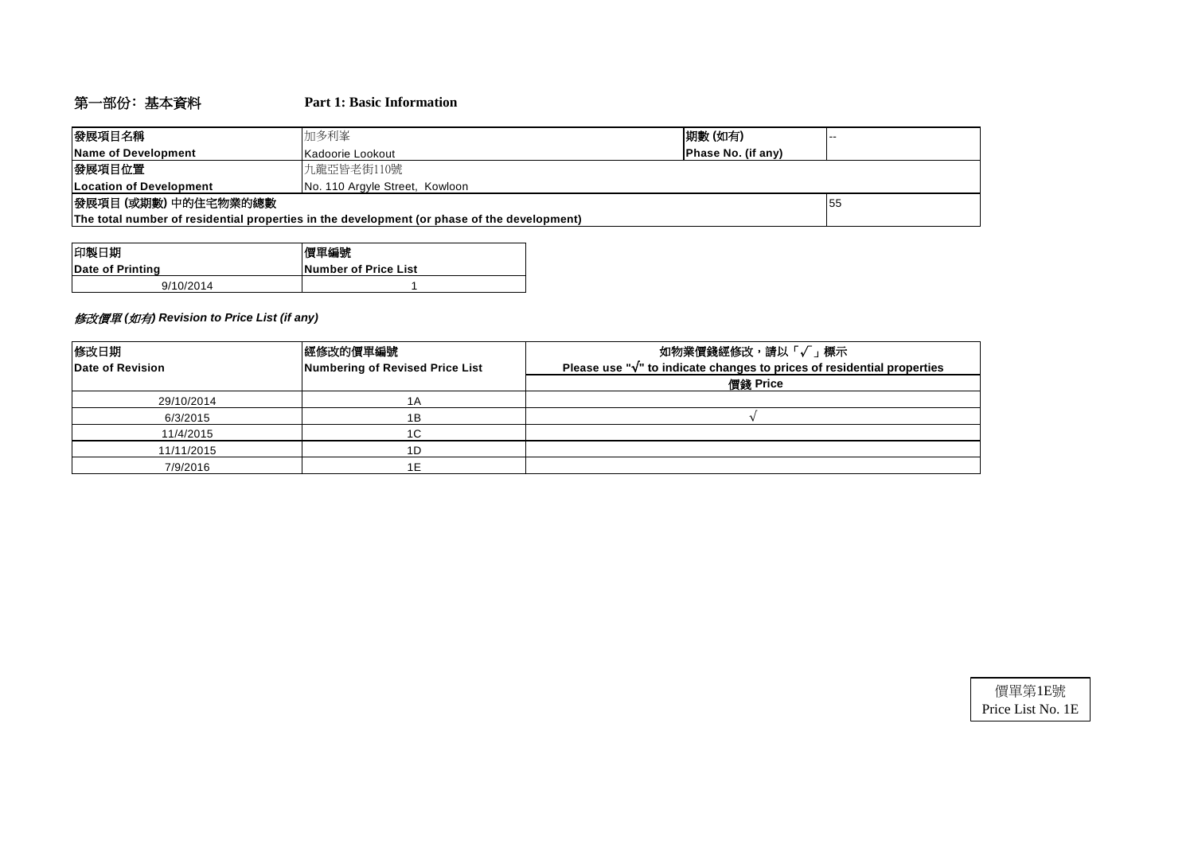# 第一部份﹕基本資料 **Part 1: Basic Information**

| 發展項目名稱                          | 加多利峯<br> 期數 (如有)<br>.                                                                       |                    |  |  |  |  |  |  |  |
|---------------------------------|---------------------------------------------------------------------------------------------|--------------------|--|--|--|--|--|--|--|
| Name of Development             | Kadoorie Lookout                                                                            | Phase No. (if any) |  |  |  |  |  |  |  |
| 發展項目位置<br>九龍亞皆老街110號            |                                                                                             |                    |  |  |  |  |  |  |  |
| <b>ILocation of Development</b> | No. 110 Argyle Street, Kowloon                                                              |                    |  |  |  |  |  |  |  |
| 發展項目 (或期數) 中的住宅物業的總數            | 155                                                                                         |                    |  |  |  |  |  |  |  |
|                                 | The total number of residential properties in the development (or phase of the development) |                    |  |  |  |  |  |  |  |

| 印製日期             | 價單編號                 |
|------------------|----------------------|
| Date of Printing | Number of Price List |
| 9/10/2014        |                      |

## 修改價單 *(*如有*) Revision to Price List (if any)*

| 修改日期<br>Date of Revision | 經修改的價單編號<br>Numbering of Revised Price List | 如物業價錢經修改,請以「√」標示<br>Please use " $\sqrt{ }$ " to indicate changes to prices of residential properties<br>價錢 Price |
|--------------------------|---------------------------------------------|-------------------------------------------------------------------------------------------------------------------|
| 29/10/2014               | 1A                                          |                                                                                                                   |
| 6/3/2015                 | 1Β                                          |                                                                                                                   |
| 11/4/2015                | 1C                                          |                                                                                                                   |
| 11/11/2015               | 1D                                          |                                                                                                                   |
| 7/9/2016                 | 1E                                          |                                                                                                                   |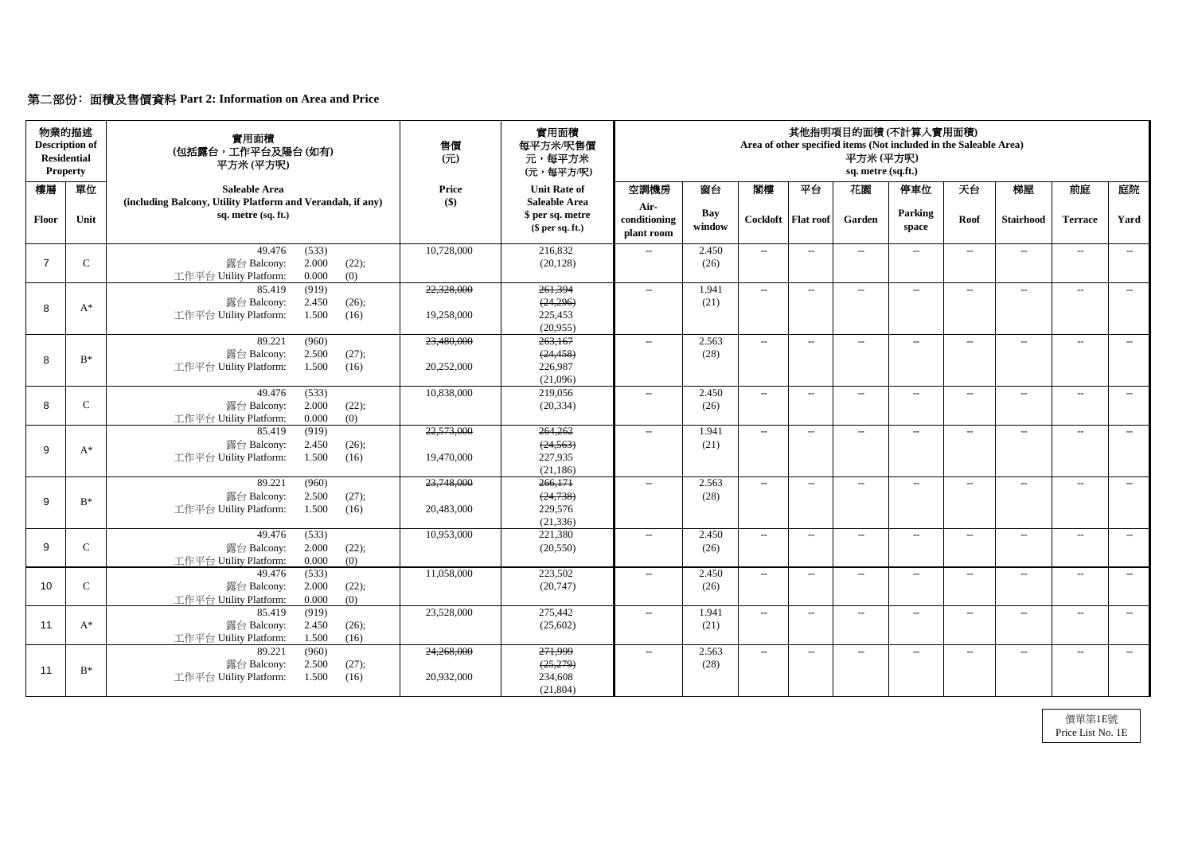# 第二部份﹕面積及售價資料 **Part 2: Information on Area and Price**

| 物業的描述<br><b>Description of</b><br><b>Residential</b><br><b>Property</b> |               | 實用面積<br>(包括露台,工作平台及陽台(如有)<br>平方米(平方呎)                                                       | 售價<br>$\overline{(\overline{\pi})}$ | 實用面積<br>每平方米/呎售價<br>元,每平方米<br>(元,每平方/呎)                    |                                    |               |                             |                            | 平方米(平方呎)<br>sq. metre (sq.ft.) | 其他指明項目的面積(不計算入實用面積)<br>Area of other specified items (Not included in the Saleable Area) |       |                  |                          |       |
|-------------------------------------------------------------------------|---------------|---------------------------------------------------------------------------------------------|-------------------------------------|------------------------------------------------------------|------------------------------------|---------------|-----------------------------|----------------------------|--------------------------------|------------------------------------------------------------------------------------------|-------|------------------|--------------------------|-------|
| 樓層                                                                      | 單位            | <b>Saleable Area</b>                                                                        | <b>Price</b>                        | <b>Unit Rate of</b>                                        | 空調機房                               | 窗台            | 閣樓                          | 平台                         | 花園                             | 停車位                                                                                      | 天台    | 梯屋               | 前庭                       | 庭院    |
| <b>Floor</b>                                                            | Unit          | (including Balcony, Utility Platform and Verandah, if any)<br>sq. metre (sq. ft.)           | $\left( \text{\$}\right)$           | <b>Saleable Area</b><br>\$ per sq. metre<br>\$per sq. ft.) | Air-<br>conditioning<br>plant room | Bay<br>window |                             | Cockloft   Flat roof       | Garden                         | Parking<br>space                                                                         | Roof  | <b>Stairhood</b> | <b>Terrace</b>           | Yard  |
|                                                                         | $\mathbf C$   | (533)<br>49.476<br>2.000<br>(22);<br>露台 Balcony:<br>0.000<br>工作平台 Utility Platform:<br>(0)  | 10,728,000                          | 216,832<br>(20, 128)                                       | $-$                                | 2.450<br>(26) | $  \,$                      | $---$                      | $\overline{\phantom{a}}$       | $---$                                                                                    | $---$ | $- -$            | $--$                     | $---$ |
|                                                                         |               | (919)<br>85.419<br>2.450<br>露台 Balcony:<br>(26);                                            | 22,328,000                          | 261,394<br>(24,296)                                        | $\mathcal{L}_{\mathcal{L}}$        | 1.941<br>(21) | $\sim$                      | $--$                       | $--$                           | $---$                                                                                    | $---$ | $--$             | $---$                    | $--$  |
| 8                                                                       | $A^*$         | 1.500<br>工作平台 Utility Platform:<br>(16)                                                     | 19,258,000                          | 225,453<br>(20,955)                                        |                                    |               |                             |                            |                                |                                                                                          |       |                  |                          |       |
| 8                                                                       | $B^*$         | 89.221<br>(960)<br>2.500<br>(27);<br>露台 Balcony:<br>1.500<br>工作平台 Utility Platform:<br>(16) | 23,480,000<br>20,252,000            | 263,167<br>(24, 458)<br>226,987                            | $\mathcal{L}_{\mathcal{L}}$        | 2.563<br>(28) | $-$                         | $--$                       | $--$                           | $\overline{\phantom{a}}$                                                                 | $---$ | $--$             | $--$                     | $--$  |
|                                                                         |               | 49.476                                                                                      | 10,838,000                          | (21,096)<br>219,056                                        |                                    | 2.450         |                             |                            |                                |                                                                                          |       |                  |                          |       |
| 8                                                                       | $\mathsf{C}$  | (533)<br>2.000<br>(22);<br>露台 Balcony:<br>工作平台 Utility Platform:<br>0.000<br>(0)            |                                     | (20, 334)                                                  | $--$                               | (26)          | $--$                        | $--$                       | $--$                           | $\overline{\phantom{a}}$                                                                 | $--$  | $---$            | $--$                     | $---$ |
| 9                                                                       | $A^*$         | (919)<br>85.419<br>露台 Balcony:<br>2.450<br>(26);<br>工作平台 Utility Platform:<br>1.500<br>(16) | 22,573,000<br>19,470,000            | 264,262<br>(24, 563)<br>227,935<br>(21, 186)               | $- -$                              | 1.941<br>(21) | $  \,$                      | $--$                       | $--$                           | $--$                                                                                     | $-$   | $---$            | $---$                    | $---$ |
| $\mathsf{Q}$                                                            | $B^*$         | 89.221<br>(960)<br>2.500<br>(27);<br>露台 Balcony:                                            | 23,748,000                          | 266,171<br>(24, 738)                                       | $--$                               | 2.563<br>(28) | $--$                        | $--$                       | $\qquad \qquad -$              | $--$                                                                                     | $---$ | $--$             | $--$                     | $--$  |
|                                                                         |               | 工作平台 Utility Platform: 1.500 (16)                                                           | 20,483,000                          | 229,576<br>(21, 336)                                       |                                    |               |                             |                            |                                |                                                                                          |       |                  |                          |       |
| 9                                                                       | $\mathcal{C}$ | 49.476<br>(533)<br>露台 Balcony:<br>2.000<br>(22);<br>工作平台 Utility Platform:<br>0.000<br>(0)  | 10,953,000                          | 221,380<br>(20, 550)                                       | $- -$                              | 2.450<br>(26) | $\mathcal{L}_{\mathcal{F}}$ | $--$                       | $\qquad \qquad -$              | $--$                                                                                     | $---$ | $--$             | $--$                     | $--$  |
| 10                                                                      | $\mathcal{C}$ | (533)<br>49.476<br>露台 Balcony:<br>2.000<br>(22);<br>0.000<br>工作平台 Utility Platform:<br>(0)  | 11,058,000                          | 223,502<br>(20, 747)                                       | $- -$                              | 2.450<br>(26) | $\overline{\phantom{a}}$    | $ \!-$                     | $\overline{\phantom{a}}$       | $\overline{\phantom{a}}$                                                                 | $---$ | $- -$            | $\overline{\phantom{a}}$ | $--$  |
| 11                                                                      | $A^*$         | 85.419<br>(919)<br>露台 Balcony:<br>2.450<br>(26);<br>工作平台 Utility Platform:<br>1.500<br>(16) | 23,528,000                          | 275,442<br>(25,602)                                        | $\overline{\phantom{a}}$           | 1.941<br>(21) | $\sim$                      | $\mathcal{L}(\mathcal{L})$ | $\rightarrow$                  | $ -$                                                                                     | $--$  | $--$             | $--$                     | $--$  |
| 11                                                                      | $B^*$         | 89.221<br>(960)<br>露台 Balcony:<br>2.500<br>(27);<br>工作平台 Utility Platform:<br>1.500<br>(16) | 24,268,000<br>20,932,000            | 271,999<br>(25,279)<br>234,608<br>(21, 804)                | $- -$                              | 2.563<br>(28) | $\sim$                      | $\overline{\phantom{m}}$   | $\rightarrow$                  | $\overline{\phantom{m}}$                                                                 | $---$ | $- -$            | $--$                     | $---$ |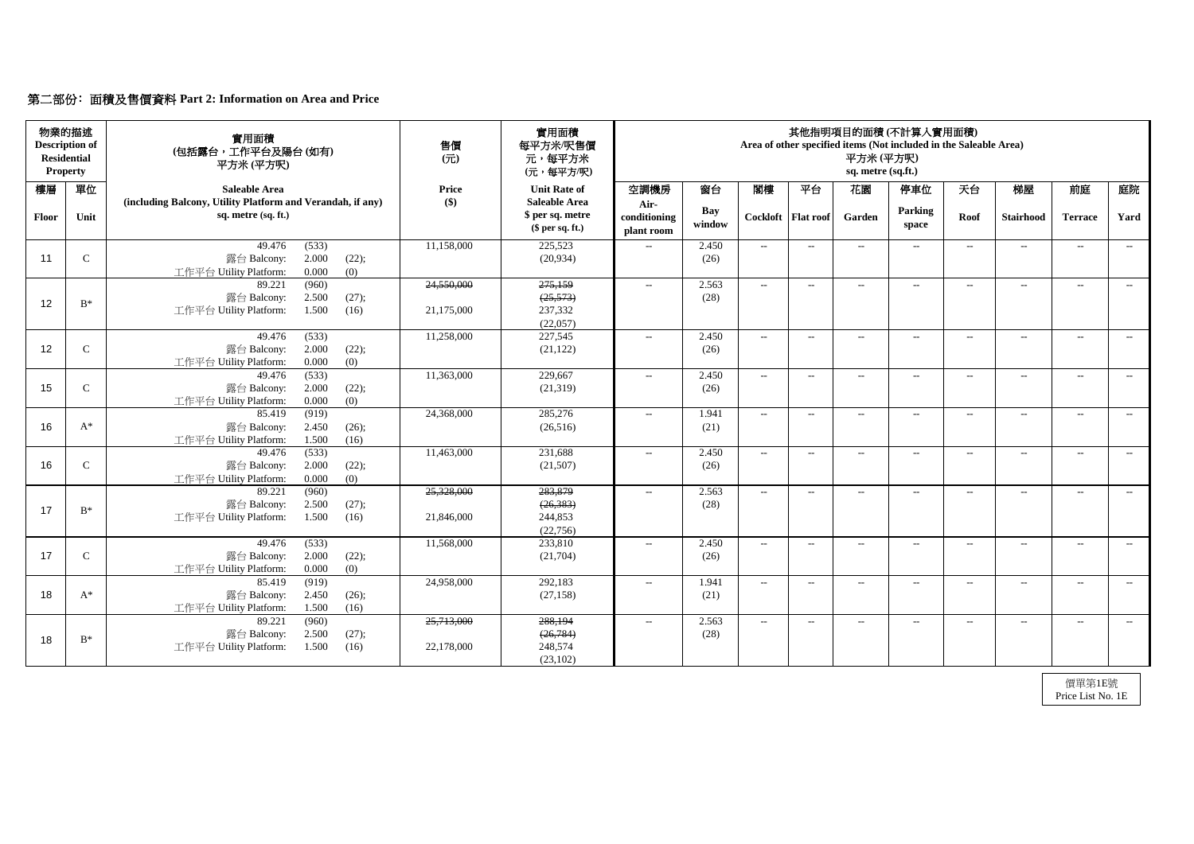# 第二部份﹕面積及售價資料 **Part 2: Information on Area and Price**

| <b>Residential</b> | 物業的描述<br><b>Description of</b><br><b>Property</b> | 實用面積<br>(包括露台,工作平台及陽台(如有)<br>平方米(平方呎)                                                       | 售價<br>$($ $\overrightarrow{\pi}$ $)$ | 實用面積<br>每平方米/呎售價<br>元,每平方米<br>(元,每平方/呎)                    |                                    |                      |                          |                      | 平方米(平方呎)<br>sq. metre (sq.ft.) | 其他指明項目的面積(不計算入實用面積)<br>Area of other specified items (Not included in the Saleable Area) |       |                          |                |       |
|--------------------|---------------------------------------------------|---------------------------------------------------------------------------------------------|--------------------------------------|------------------------------------------------------------|------------------------------------|----------------------|--------------------------|----------------------|--------------------------------|------------------------------------------------------------------------------------------|-------|--------------------------|----------------|-------|
| 樓層                 | 單位                                                | <b>Saleable Area</b>                                                                        | <b>Price</b>                         | <b>Unit Rate of</b>                                        | 空調機房                               | 窗台                   | 閣樓                       | 平台                   | 花園                             | 停車位                                                                                      | 天台    | 梯屋                       | 前庭             | 庭院    |
| Floor              | Unit                                              | (including Balcony, Utility Platform and Verandah, if any)<br>sq. metre (sq. ft.)           | $\left( \text{\$}\right)$            | <b>Saleable Area</b><br>\$ per sq. metre<br>\$per sq. ft.) | Air-<br>conditioning<br>plant room | <b>Bay</b><br>window |                          | Cockloft   Flat roof | Garden                         | <b>Parking</b><br>space                                                                  | Roof  | <b>Stairhood</b>         | <b>Terrace</b> | Yard  |
| 11                 | $\mathsf{C}$                                      | (533)<br>49.476<br>2.000<br>露台 Balcony:<br>(22);<br>0.000<br>(0)<br>工作平台 Utility Platform:  | 11,158,000                           | 225,523<br>(20, 934)                                       | $- -$                              | 2.450<br>(26)        | $--$                     | $---$                | $\overline{\phantom{a}}$       | $\overline{\phantom{a}}$                                                                 | $---$ | $--$                     | $--$           | $---$ |
| 12                 | $B^*$                                             | (960)<br>89.221<br>2.500<br>(27);<br>露台 Balcony:<br>工作平台 Utility Platform:<br>1.500<br>(16) | 24,550,000<br>21,175,000             | 275,159<br>(25, 573)<br>237,332<br>(22,057)                | $\mathcal{L}_{\mathcal{L}}$        | 2.563<br>(28)        | $--$                     | $--$                 | $--$                           | $\overline{\phantom{a}}$                                                                 | $---$ | $--$                     | $--$           | $--$  |
| 12                 | $\mathsf{C}$                                      | 49.476<br>(533)<br>2.000<br>(22);<br>露台 Balcony:<br>工作平台 Utility Platform:<br>0.000<br>(0)  | 11,258,000                           | 227,545<br>(21, 122)                                       | $--$                               | 2.450<br>(26)        | $\overline{\phantom{a}}$ | $--$                 | $--$                           | $--$                                                                                     | $---$ | $--$                     | $--$           | $--$  |
| 15                 | $\mathsf{C}$                                      | 49.476<br>(533)<br>2.000<br>露台 Balcony:<br>(22);<br>0.000<br>(0)<br>工作平台 Utility Platform:  | 11,363,000                           | 229,667<br>(21,319)                                        | $- -$                              | 2.450<br>(26)        | $--$                     | $--$                 | $\qquad \qquad -$              | $---$                                                                                    | $---$ | $\qquad \qquad - \qquad$ | $--$           | $--$  |
| 16                 | $A^*$                                             | (919)<br>85.419<br>露台 Balcony:<br>2.450<br>(26);<br>工作平台 Utility Platform:<br>1.500<br>(16) | 24,368,000                           | 285,276<br>(26,516)                                        | $--$                               | 1.941<br>(21)        | $\sim$                   | $--$                 | $\qquad \qquad -$              | $--$                                                                                     | $---$ | $\qquad \qquad -$        | $--$           | $--$  |
| 16                 | $\mathsf{C}$                                      | (533)<br>49.476<br>2.000<br>(22);<br>露台 Balcony:<br>0.000<br>(0)<br>工作平台 Utility Platform:  | 11,463,000                           | 231,688<br>(21,507)                                        | $- -$                              | 2.450<br>(26)        | $--$                     | $--$                 | $\overline{\phantom{a}}$       | $--$                                                                                     | $--$  | $ -$                     | $--$           | $---$ |
| 17                 | $B^*$                                             | 89.221<br>(960)<br>露台 Balcony:<br>2.500<br>(27);<br>工作平台 Utility Platform:<br>1.500<br>(16) | 25,328,000<br>21,846,000             | 283,879<br>(26, 383)<br>244,853<br>(22,756)                | $--$                               | 2.563<br>(28)        | $\sim$                   | $--$                 | $--$                           | $--$                                                                                     | $---$ | $--$                     | $--$           | $--$  |
| 17                 | $\mathsf{C}$                                      | 49.476<br>(533)<br>2.000<br>露台 Balcony:<br>(22);<br>工作平台 Utility Platform:<br>0.000<br>(0)  | 11,568,000                           | 233,810<br>(21,704)                                        | $- -$                              | 2.450<br>(26)        | $--$                     | $--$                 | $\overline{\phantom{a}}$       | $---$                                                                                    | $--$  | $--$                     | $--$           | $--$  |
| 18                 | $A^*$                                             | 85.419<br>(919)<br>2.450<br>露台 Balcony:<br>(26);<br>工作平台 Utility Platform:<br>1.500<br>(16) | 24,958,000                           | 292,183<br>(27, 158)                                       | $- -$                              | 1.941<br>(21)        | $--$                     | $--$                 | --                             | $\hspace{0.05cm} \ldots$                                                                 | $---$ | $--$                     | $--$           | $--$  |
| 18                 | $\mathrm{B}^*$                                    | (960)<br>89.221<br>露台 Balcony:<br>2.500<br>(27);<br>工作平台 Utility Platform:<br>1.500<br>(16) | 25,713,000<br>22,178,000             | 288,194<br>(26, 784)<br>248,574<br>(23,102)                | $- -$                              | 2.563<br>(28)        | $--$                     | $--$                 | $--$                           | $\hspace{0.05cm} \ldots$                                                                 | $--$  | $--$                     | $--$           | $--$  |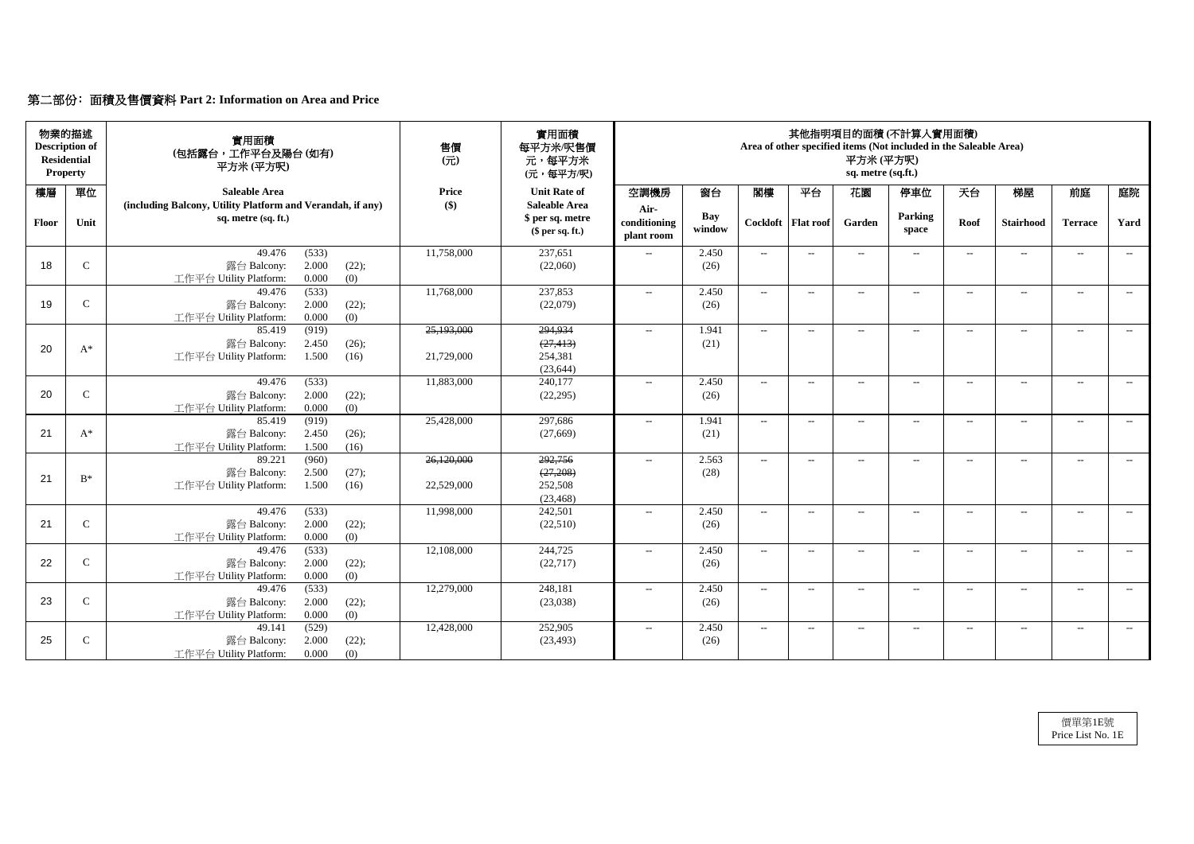# 第二部份﹕面積及售價資料 **Part 2: Information on Area and Price**

| 物業的描述<br><b>Description of</b><br><b>Residential</b><br><b>Property</b> |              | 實用面積<br>(包括露台,工作平台及陽台(如有)<br>平方米 (平方呎)                                            | 售價<br>$($ $\overrightarrow{\pi}$ $)$ | 實用面積<br>每平方米/呎售價<br>元,每平方米<br>(元,每平方/呎)                    | 其他指明項目的面積(不計算入實用面積)<br>Area of other specified items (Not included in the Saleable Area)<br>平方米(平方呎)<br>sq. metre (sq.ft.) |                      |        |                      |                          |                          |        |                   |                          |       |
|-------------------------------------------------------------------------|--------------|-----------------------------------------------------------------------------------|--------------------------------------|------------------------------------------------------------|----------------------------------------------------------------------------------------------------------------------------|----------------------|--------|----------------------|--------------------------|--------------------------|--------|-------------------|--------------------------|-------|
| 樓層                                                                      | 單位           | <b>Saleable Area</b>                                                              | <b>Price</b>                         | <b>Unit Rate of</b>                                        | 空調機房                                                                                                                       | 窗台                   | 閣樓     | 平台                   | 花園                       | 停車位                      | 天台     | 梯屋                | 前庭                       | 庭院    |
| <b>Floor</b>                                                            | Unit         | (including Balcony, Utility Platform and Verandah, if any)<br>sq. metre (sq. ft.) | $\left( \text{\$}\right)$            | <b>Saleable Area</b><br>\$ per sq. metre<br>\$per sq. ft.) | Air-<br>conditioning<br>plant room                                                                                         | <b>Bay</b><br>window |        | Cockloft   Flat roof | Garden                   | Parking<br>space         | Roof   | <b>Stairhood</b>  | <b>Terrace</b>           | Yard  |
|                                                                         |              | 49.476<br>(533)                                                                   | 11,758,000                           | 237,651                                                    | $- -$                                                                                                                      | 2.450                | $--$   | $--$                 | $\qquad \qquad -$        | $--$                     | $---$  | $\qquad \qquad -$ | $--$                     | $--$  |
| 18                                                                      | $\mathbf C$  | 2.000<br>露台 Balcony:<br>(22);<br>0.000<br>工作平台 Utility Platform:<br>(0)           |                                      | (22,060)                                                   |                                                                                                                            | (26)                 |        |                      |                          |                          |        |                   |                          |       |
|                                                                         |              | (533)<br>49.476                                                                   | 11,768,000                           | 237,853                                                    | $\mathcal{L}_{\mathcal{L}}$                                                                                                | 2.450                | $--$   | $--$                 | $--$                     | $ -$                     | $---$  | $---$             | $--$                     | $--$  |
| 19                                                                      | $\mathbf C$  | 2.000<br>(22);<br>露台 Balcony:                                                     |                                      | (22,079)                                                   |                                                                                                                            | (26)                 |        |                      |                          |                          |        |                   |                          |       |
|                                                                         |              | 工作平台 Utility Platform:<br>0.000<br>(0)                                            |                                      |                                                            |                                                                                                                            |                      |        |                      |                          |                          |        |                   |                          |       |
|                                                                         |              | (919)<br>85.419                                                                   | 25,193,000                           | 294,934                                                    | $---$                                                                                                                      | 1.941                | $--$   | $---$                | $--$                     | $\overline{\phantom{a}}$ | $--$   | $\qquad \qquad -$ | $--$                     | $--$  |
| 20                                                                      | $A^*$        | 露台 Balcony:<br>2.450<br>(26);                                                     |                                      | (27, 413)                                                  |                                                                                                                            | (21)                 |        |                      |                          |                          |        |                   |                          |       |
|                                                                         |              | 1.500<br>工作平台 Utility Platform:<br>(16)                                           | 21,729,000                           | 254,381<br>(23, 644)                                       |                                                                                                                            |                      |        |                      |                          |                          |        |                   |                          |       |
|                                                                         |              | (533)<br>49.476                                                                   | 11,883,000                           | 240,177                                                    | $- -$                                                                                                                      | 2.450                | $--$   | $-$                  | $-$                      | $---$                    | $-$    | $---$             | $---$                    | $---$ |
| 20                                                                      | $\mathsf{C}$ | 露台 Balcony:<br>2.000<br>(22);                                                     |                                      | (22, 295)                                                  |                                                                                                                            | (26)                 |        |                      |                          |                          |        |                   |                          |       |
|                                                                         |              | (0)<br>0.000<br>工作平台 Utility Platform:                                            |                                      |                                                            |                                                                                                                            |                      |        |                      |                          |                          |        |                   |                          |       |
|                                                                         |              | (919)<br>85.419                                                                   | 25,428,000                           | 297,686                                                    | $--$                                                                                                                       | 1.941                | $--$   | $---$                | $--$                     | $--$                     | $--$   | $\qquad \qquad -$ | $--$                     | $---$ |
| 21                                                                      | $A^*$        | 2.450<br>(26);<br>露台 Balcony:                                                     |                                      | (27,669)                                                   |                                                                                                                            | (21)                 |        |                      |                          |                          |        |                   |                          |       |
|                                                                         |              | 1.500<br>(16)<br>工作平台 Utility Platform:                                           |                                      |                                                            |                                                                                                                            |                      |        |                      |                          |                          |        |                   |                          |       |
|                                                                         |              | (960)<br>89.221                                                                   | 26,120,000                           | 292,756                                                    | $--$                                                                                                                       | 2.563                | $--$   | $--$                 | $--$                     | $--$                     | $--$   | $---$             | $--$                     | $--$  |
| 21                                                                      | $B^*$        | 2.500<br>露台 Balcony:<br>(27);                                                     |                                      | (27,208)                                                   |                                                                                                                            | (28)                 |        |                      |                          |                          |        |                   |                          |       |
|                                                                         |              | 工作平台 Utility Platform:<br>1.500<br>(16)                                           | 22,529,000                           | 252,508                                                    |                                                                                                                            |                      |        |                      |                          |                          |        |                   |                          |       |
|                                                                         |              | 49.476<br>(533)                                                                   | 11,998,000                           | (23, 468)<br>242,501                                       | $- -$                                                                                                                      | 2.450                | $-$    | $--$                 | $\rightarrow$            | $--$                     | $--$   | $\qquad \qquad -$ | $\overline{\phantom{a}}$ | $--$  |
| 21                                                                      | $\mathbf C$  | 2.000<br>露台 Balcony:<br>(22);                                                     |                                      | (22,510)                                                   |                                                                                                                            | (26)                 |        |                      |                          |                          |        |                   |                          |       |
|                                                                         |              | 0.000<br>工作平台 Utility Platform:<br>(0)                                            |                                      |                                                            |                                                                                                                            |                      |        |                      |                          |                          |        |                   |                          |       |
|                                                                         |              | 49.476<br>(533)                                                                   | 12,108,000                           | 244,725                                                    | $--$                                                                                                                       | 2.450                | $  \,$ | $--$                 | $\overline{\phantom{a}}$ | $---$                    | $- \,$ | $--$              | $--$                     | $--$  |
| 22                                                                      | $\mathsf{C}$ | 露台 Balcony:<br>2.000<br>(22);                                                     |                                      | (22, 717)                                                  |                                                                                                                            | (26)                 |        |                      |                          |                          |        |                   |                          |       |
|                                                                         |              | 0.000<br>工作平台 Utility Platform:<br>(0)                                            |                                      |                                                            |                                                                                                                            |                      |        |                      |                          |                          |        |                   |                          |       |
|                                                                         |              | 49.476<br>(533)                                                                   | 12,279,000                           | 248,181                                                    | $- -$                                                                                                                      | 2.450                | $--$   | $--$                 | $\qquad \qquad -$        | $--$                     | $---$  | $--$              | $--$                     | $--$  |
| 23                                                                      | $\mathsf{C}$ | 露台 Balcony:<br>2.000<br>(22);                                                     |                                      | (23,038)                                                   |                                                                                                                            | (26)                 |        |                      |                          |                          |        |                   |                          |       |
|                                                                         |              | 0.000<br>工作平台 Utility Platform:<br>(0)                                            |                                      |                                                            |                                                                                                                            |                      |        |                      |                          |                          |        |                   |                          |       |
|                                                                         |              | (529)<br>49.141                                                                   | 12,428,000                           | 252,905                                                    | $- -$                                                                                                                      | 2.450                | $\sim$ | $--$                 | $--$                     | $--$                     | $--$   | $--$              | $--$                     | $--$  |
| 25                                                                      | $\mathsf{C}$ | 2.000<br>(22);<br>露台 Balcony:                                                     |                                      | (23, 493)                                                  |                                                                                                                            | (26)                 |        |                      |                          |                          |        |                   |                          |       |
|                                                                         |              | 工作平台 Utility Platform:<br>0.000<br>(0)                                            |                                      |                                                            |                                                                                                                            |                      |        |                      |                          |                          |        |                   |                          |       |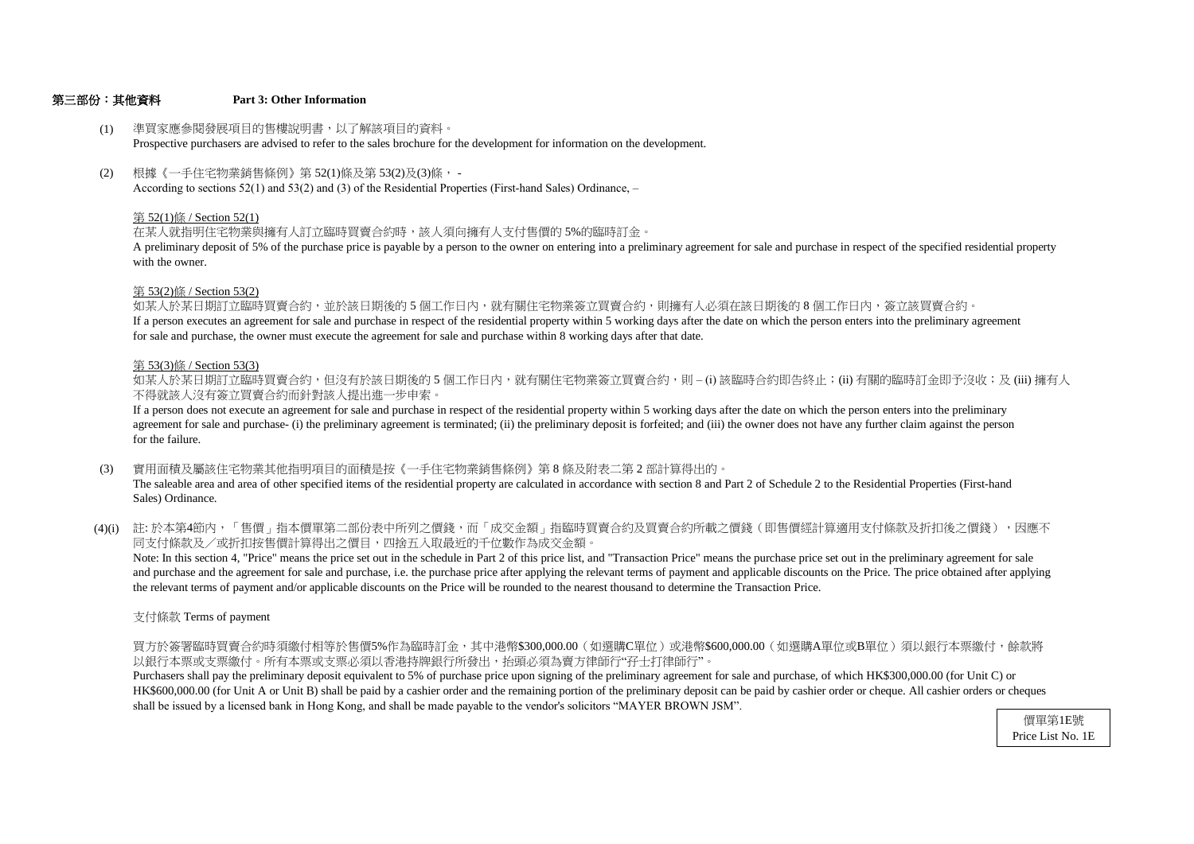## 第三部份:其他資料 **Part 3: Other Information**

for sale and purchase, the owner must execute the agreement for sale and purchase within 8 working days after that date. If a person executes an agreement for sale and purchase in respect of the residential property within 5 working days after the date on which the person enters into the preliminary agreement 如某人於某日期訂立臨時買賣合約,並於該日期後的 5 個工作日內,就有關住宅物業簽立買賣合約,則擁有人必須在該日期後的 8 個工作日内,簽立該買賣合約。

- (1) 準買家應參閱發展項目的售樓說明書,以了解該項目的資料。 Prospective purchasers are advised to refer to the sales brochure for the development for information on the development.
- (2) 根據《一手住宅物業銷售條例》第 52(1)條及第 53(2)及(3)條, - According to sections 52(1) and 53(2) and (3) of the Residential Properties (First-hand Sales) Ordinance, –

# 第 53(2)條 / Section 53(2)

with the owner. A preliminary deposit of 5% of the purchase price is payable by a person to the owner on entering into a preliminary agreement for sale and purchase in respect of the specified residential property

- (3) 實用面積及屬該住宅物業其他指明項目的面積是按《一手住宅物業銷售條例》第 8 條及附表二第 2 部計算得出的。 The saleable area and area of other specified items of the residential property are calculated in accordance with section 8 and Part 2 of Schedule 2 to the Residential Properties (First-hand Sales) Ordinance.
- (4)(i) 註:於本第4節內,「售價」指本價單第二部份表中所列之價錢,而「成交金額」指臨時買賣合約及買賣合約所載之價錢(即售價經計算適用支付條款及折扣後之價錢),因應不 同支付條款及/或折扣按售價計算得出之價目,四捨五入取最近的千位數作為成交金額。

# 第 52(1)條 / Section 52(1)

在某人就指明住宅物業與擁有人訂立臨時買賣合約時,該人須向擁有人支付售價的 5%的臨時訂金。

# 第 53(3)條 / Section 53(3)

不得就該人沒有簽立買賣合約而針對該人提出進一步申索。 如某人於某日期訂立臨時買賣合約,但沒有於該日期後的 5 個工作日内,就有關住宅物業簽立買賣合約,則 – (i) 該臨時合約即告終止;(ii) 有關的臨時訂金即予沒收;及 (iii) 擁有人

the relevant terms of payment and/or applicable discounts on the Price will be rounded to the nearest thousand to determine the Transaction Price. and purchase and the agreement for sale and purchase, i.e. the purchase price after applying the relevant terms of payment and applicable discounts on the Price. The price obtained after applying Note: In this section 4, "Price" means the price set out in the schedule in Part 2 of this price list, and "Transaction Price" means the purchase price set out in the preliminary agreement for sale

for the failure. agreement for sale and purchase- (i) the preliminary agreement is terminated; (ii) the preliminary deposit is forfeited; and (iii) the owner does not have any further claim against the person If a person does not execute an agreement for sale and purchase in respect of the residential property within 5 working days after the date on which the person enters into the preliminary

支付條款 Terms of payment

以銀行本票或支票繳付。所有本票或支票必須以香港持牌銀行所發出,抬頭必須為賣方律師行"孖士打律師行"。 買方於簽署臨時買賣合約時須繳付相等於售價5%作為臨時訂金,其中港幣\$300,000.00(如選購C單位)或港幣\$600,000.00(如選購A單位或B單位)須以銀行本票繳付,餘款將

shall be issued by a licensed bank in Hong Kong, and shall be made payable to the vendor's solicitors "MAYER BROWN JSM". HK\$600,000.00 (for Unit A or Unit B) shall be paid by a cashier order and the remaining portion of the preliminary deposit can be paid by cashier order or cheque. All cashier orders or cheques Purchasers shall pay the preliminary deposit equivalent to 5% of purchase price upon signing of the preliminary agreement for sale and purchase, of which HK\$300,000.00 (for Unit C) or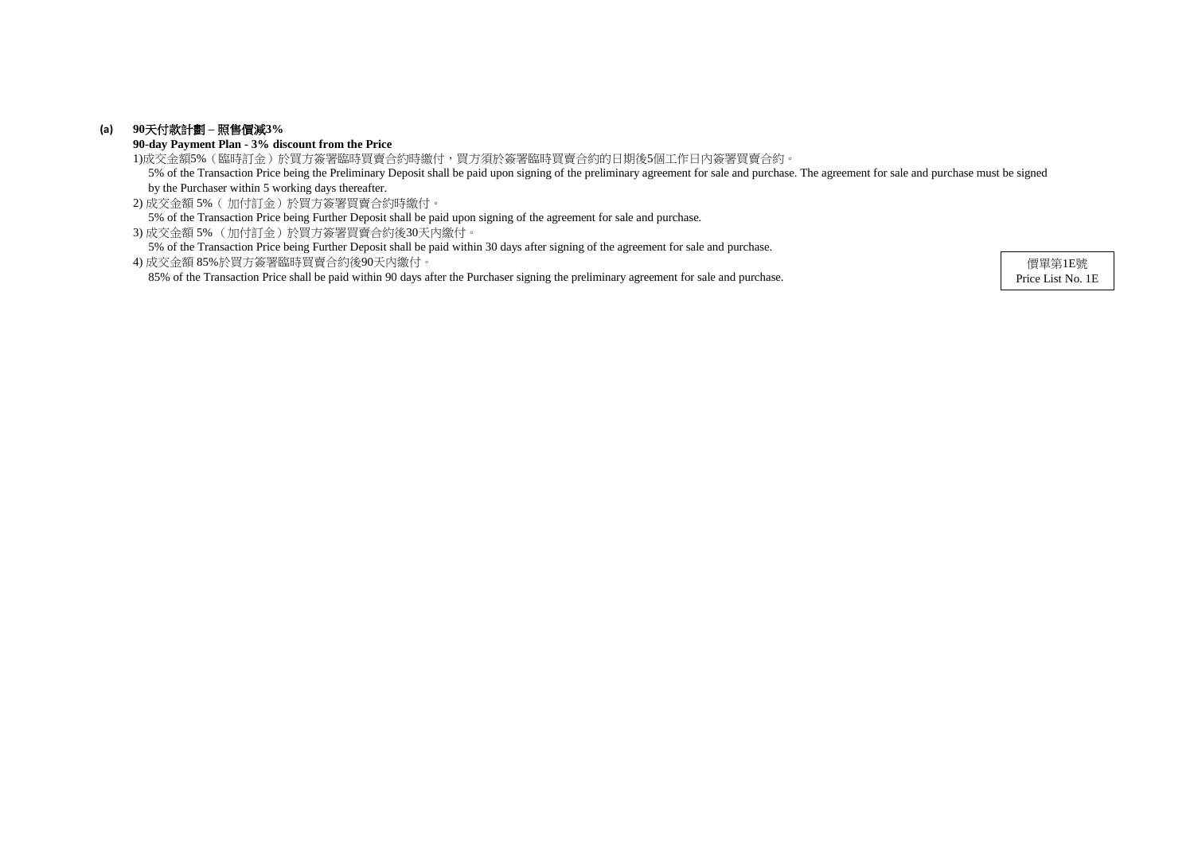# **(a) 90**天付款計劃 **–** 照售價減**3%**

**90-day Payment Plan - 3% discount from the Price**

2) 成交金額 5%( 加付訂金)於買方簽署買賣合約時繳付。 5% of the Transaction Price being Further Deposit shall be paid upon signing of the agreement for sale and purchase.

3) 成交金額 5% (加付訂金)於買方簽署買賣合約後30天內繳付。

5% of the Transaction Price being Further Deposit shall be paid within 30 days after signing of the agreement for sale and purchase.

1)成交金額5%(臨時訂金)於買方簽署臨時買賣合約時繳付,買方須於簽署臨時買賣合約的日期後5個工作日內簽署買賣合約。 5% of the Transaction Price being the Preliminary Deposit shall be paid upon signing of the preliminary agreement for sale and purchase. The agreement for sale and purchase must be signed by the Purchaser within 5 working days thereafter.

4) 成交金額 85%於買方簽署臨時買賣合約後90天內繳付。 85% of the Transaction Price shall be paid within 90 days after the Purchaser signing the preliminary agreement for sale and purchase.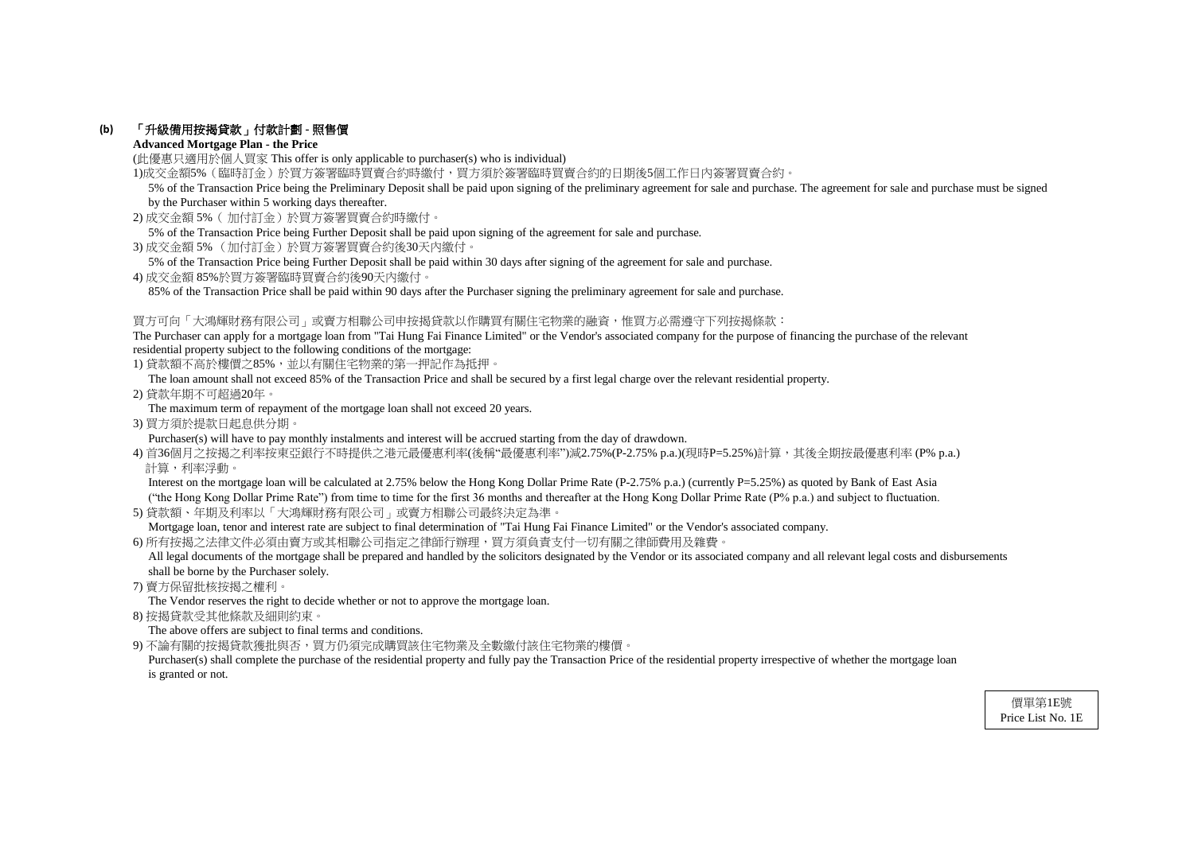# **(b)** 「升級備用按揭貸款」付款計劃 **-** 照售價

# **Advanced Mortgage Plan - the Price**

(此優惠只適用於個人買家 This offer is only applicable to purchaser(s) who is individual)

1)成交金額5%(臨時訂金)於買方簽署臨時買賣合約時繳付,買方須於簽署臨時買賣合約的日期後5個工作日內簽署買賣合約。

- 2) 成交金額 5%( 加付訂金)於買方簽署買賣合約時繳付。
- 5% of the Transaction Price being Further Deposit shall be paid upon signing of the agreement for sale and purchase.
- 3) 成交金額 5% (加付訂金)於買方簽署買賣合約後30天內繳付。
- 5% of the Transaction Price being Further Deposit shall be paid within 30 days after signing of the agreement for sale and purchase.
- 4) 成交金額 85%於買方簽署臨時買賣合約後90天內繳付。

85% of the Transaction Price shall be paid within 90 days after the Purchaser signing the preliminary agreement for sale and purchase.

# 買方可向「大鴻輝財務有限公司」或賣方相聯公司申按揭貸款以作購買有關住宅物業的融資,惟買方必需遵守下列按揭條款:

The Purchaser can apply for a mortgage loan from "Tai Hung Fai Finance Limited" or the Vendor's associated company for the purpose of financing the purchase of the relevant residential property subject to the following conditions of the mortgage:

1) 貸款額不高於樓價之85%,並以有關住宅物業的第一押記作為抵押。

Interest on the mortgage loan will be calculated at 2.75% below the Hong Kong Dollar Prime Rate (P-2.75% p.a.) (currently P=5.25%) as quoted by Bank of East Asia ("the Hong Kong Dollar Prime Rate") from time to time for the first 36 months and thereafter at the Hong Kong Dollar Prime Rate (P% p.a.) and subject to fluctuation.

The loan amount shall not exceed 85% of the Transaction Price and shall be secured by a first legal charge over the relevant residential property.

All legal documents of the mortgage shall be prepared and handled by the solicitors designated by the Vendor or its associated company and all relevant legal costs and disbursements shall be borne by the Purchaser solely.

2) 貸款年期不可超過20年。

The maximum term of repayment of the mortgage loan shall not exceed 20 years.

3) 買方須於提款日起息供分期。

Purchaser(s) will have to pay monthly instalments and interest will be accrued starting from the day of drawdown.

4) 首36個月之按揭之利率按東亞銀行不時提供之港元最優惠利率(後稱"最優惠利率")減2.75%(P-2.75% p.a.)(現時P=5.25%)計算,其後全期按最優惠利率 (P% p.a.) 計算,利率浮動。

Purchaser(s) shall complete the purchase of the residential property and fully pay the Transaction Price of the residential property irrespective of whether the mortgage loan is granted or not.

5) 貸款額、年期及利率以「大鴻輝財務有限公司」或賣方相聯公司最終決定為準。

Mortgage loan, tenor and interest rate are subject to final determination of "Tai Hung Fai Finance Limited" or the Vendor's associated company.

6) 所有按揭之法律文件必須由賣方或其相聯公司指定之律師行辦理,買方須負責支付一切有關之律師費用及雜費。

7) 賣方保留批核按揭之權利。

The Vendor reserves the right to decide whether or not to approve the mortgage loan.

8) 按揭貸款受其他條款及細則約束。

The above offers are subject to final terms and conditions.

9) 不論有關的按揭貸款獲批與否,買方仍須完成購買該住宅物業及全數繳付該住宅物業的樓價。

 5% of the Transaction Price being the Preliminary Deposit shall be paid upon signing of the preliminary agreement for sale and purchase. The agreement for sale and purchase must be signed by the Purchaser within 5 working days thereafter.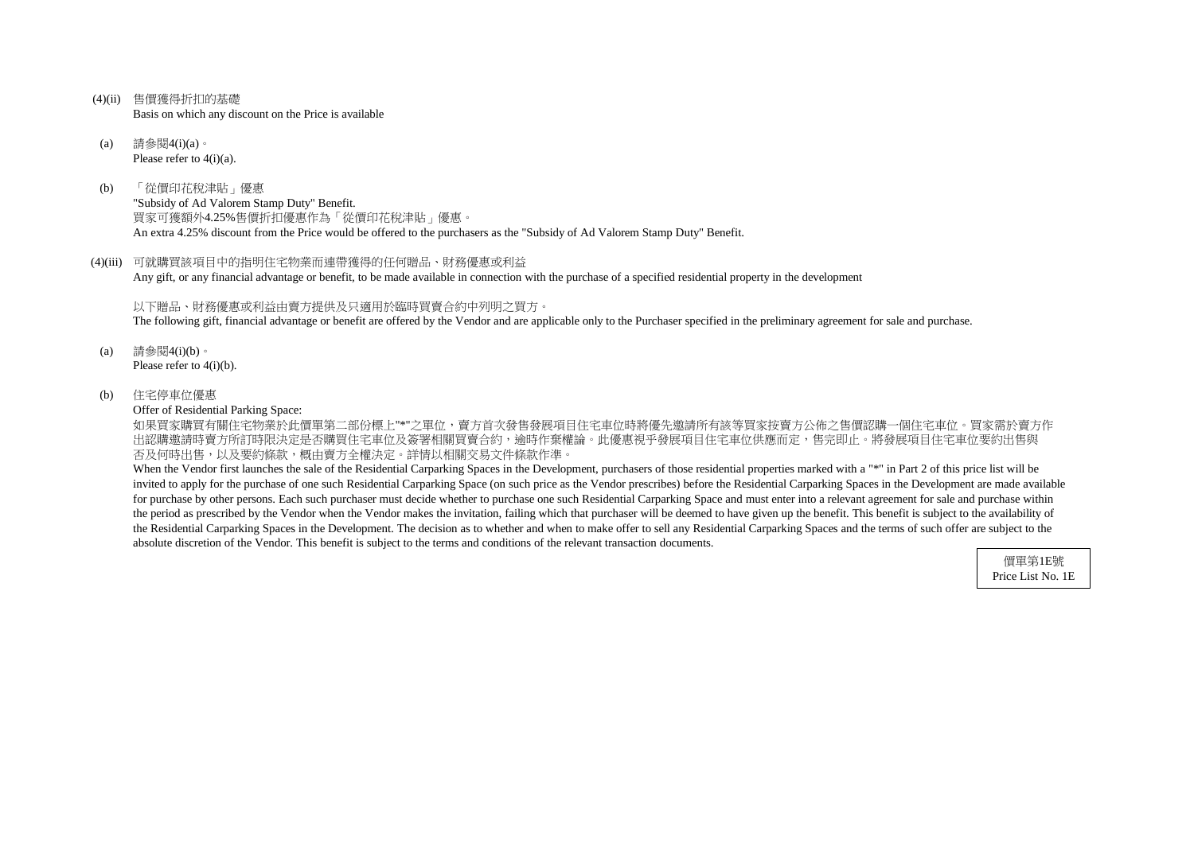- (4)(ii) 售價獲得折扣的基礎 Basis on which any discount on the Price is available
- (a) 請參閱4(i)(a)。 Please refer to  $4(i)(a)$ .
- (b) 「從價印花稅津貼」優惠 "Subsidy of Ad Valorem Stamp Duty" Benefit. 買家可獲額外4.25%售價折扣優惠作為「從價印花稅津貼」優惠。 An extra 4.25% discount from the Price would be offered to the purchasers as the "Subsidy of Ad Valorem Stamp Duty" Benefit.
- (4)(iii) 可就購買該項目中的指明住宅物業而連帶獲得的任何贈品、財務優惠或利益 Any gift, or any financial advantage or benefit, to be made available in connection with the purchase of a specified residential property in the development

如果買家購買有關住宅物業於此價單第二部份標上"\*"之單位,賣方首次發售發展項目住宅車位時將優先邀請所有該等買家按賣方公佈之售價認購一個住宅車位。買家需於賣方作 出認購邀請時賣方所訂時限決定是否購買住宅車位及簽署相關買賣合約,逾時作棄權論。此優惠視乎發展項目住宅車位供應而定,售完即止。將發展項目住宅車位要約出售與 否及何時出售,以及要約條款,概由賣方全權決定。詳情以相關交易文件條款作準。

以下贈品、財務優惠或利益由賣方提供及只適用於臨時買賣合約中列明之買方。 The following gift, financial advantage or benefit are offered by the Vendor and are applicable only to the Purchaser specified in the preliminary agreement for sale and purchase.

- (a) 請參閱4(i)(b)。 Please refer to 4(i)(b).
- (b) 住宅停車位優惠

Offer of Residential Parking Space:

When the Vendor first launches the sale of the Residential Carparking Spaces in the Development, purchasers of those residential properties marked with a "\*" in Part 2 of this price list will be invited to apply for the purchase of one such Residential Carparking Space (on such price as the Vendor prescribes) before the Residential Carparking Spaces in the Development are made available for purchase by other persons. Each such purchaser must decide whether to purchase one such Residential Carparking Space and must enter into a relevant agreement for sale and purchase within the period as prescribed by the Vendor when the Vendor makes the invitation, failing which that purchaser will be deemed to have given up the benefit. This benefit is subject to the availability of the Residential Carparking Spaces in the Development. The decision as to whether and when to make offer to sell any Residential Carparking Spaces and the terms of such offer are subject to the absolute discretion of the Vendor. This benefit is subject to the terms and conditions of the relevant transaction documents.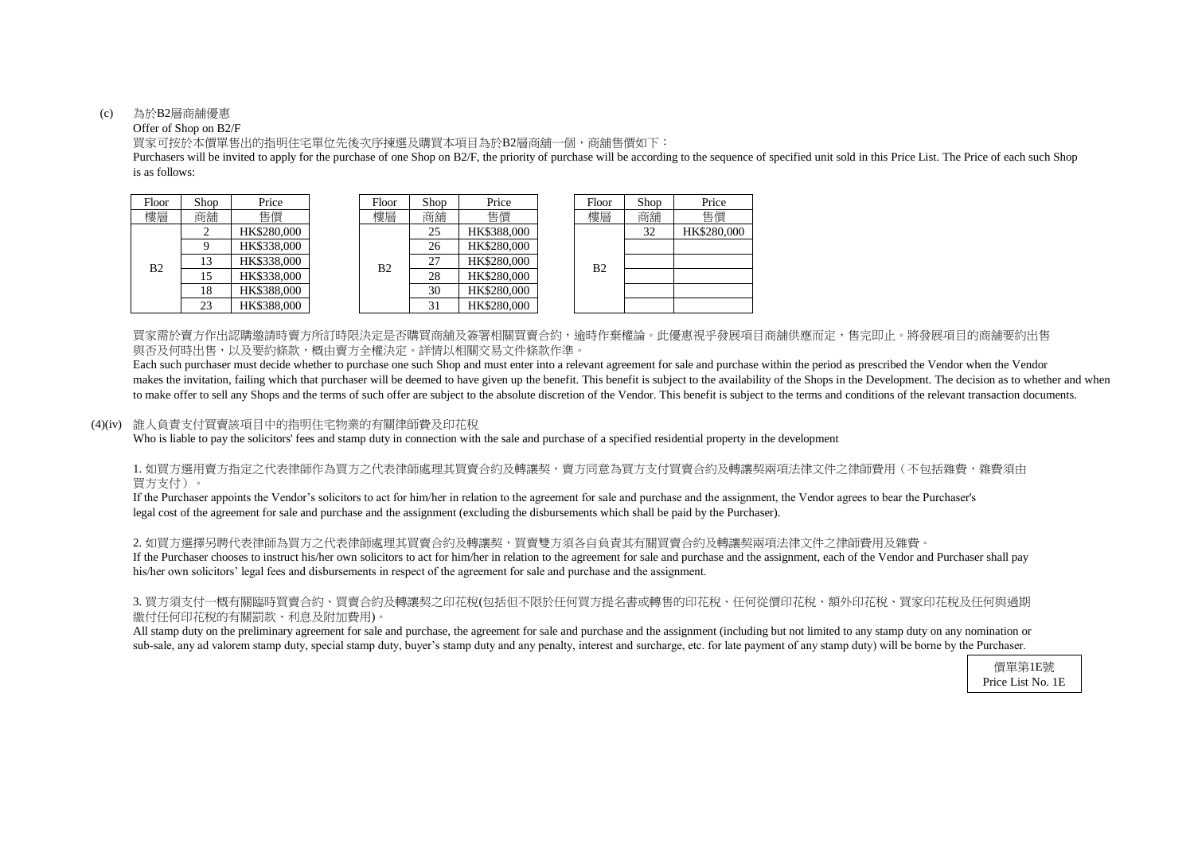#### (c) 為於B2層商舖優惠

## Offer of Shop on B2/F

is as follows: Purchasers will be invited to apply for the purchase of one Shop on B2/F, the priority of purchase will be according to the sequence of specified unit sold in this Price List. The Price of each such Shop

買家可按於本價單售出的指明住宅單位先後次序揀選及購買本項目為於B2層商舖一個,商舖售價如下:

買家需於賣方作出認購邀請時賣方所訂時限決定是否購買商舖及簽署相關買賣合約,逾時作棄權論。此優惠視乎發展項目商舖供應而定,售完即止。將發展項目的商舖要約出售 與否及何時出售,以及要約條款,概由賣方全權決定。詳情以相關交易文件條款作準。

| hop | Price       | Floor | Shop | Price       | Floor          | Shop | Price       |
|-----|-------------|-------|------|-------------|----------------|------|-------------|
| 角铺  | 售價          | 樓層    | 商舖   | 售價          | 樓層             | 商舖   | 售價          |
| 2   | HK\$280,000 |       | 25   | HK\$388,000 |                | 32   | HK\$280,000 |
| 9   | HK\$338,000 |       | 26   | HK\$280,000 |                |      |             |
| 13  | HK\$338,000 | B2    | 27   | HK\$280,000 | B <sub>2</sub> |      |             |
| 15  | HK\$338,000 |       | 28   | HK\$280,000 |                |      |             |
| 18  | HK\$388,000 |       | 30   | HK\$280,000 |                |      |             |
| 23  | HK\$388,000 |       | 31   | HK\$280,000 |                |      |             |

| Floor          | Shop | Price       |
|----------------|------|-------------|
| 健層             | 商舖   | 售價          |
|                | 32   | HK\$280,000 |
|                |      |             |
| B <sub>2</sub> |      |             |
|                |      |             |
|                |      |             |
|                |      |             |

Each such purchaser must decide whether to purchase one such Shop and must enter into a relevant agreement for sale and purchase within the period as prescribed the Vendor when the Vendor makes the invitation, failing which that purchaser will be deemed to have given up the benefit. This benefit is subject to the availability of the Shops in the Development. The decision as to whether and when to make offer to sell any Shops and the terms of such offer are subject to the absolute discretion of the Vendor. This benefit is subject to the terms and conditions of the relevant transaction documents.

# 1. 如買方選用賣方指定之代表律師作為買方之代表律師處理其買賣合約及轉讓契,賣方同意為買方支付買賣合約及轉讓契兩項法律文件之律師費用(不包括雜費,雜費須由 買方支付)。

| Floor          | Shop   | Price       |  | Floor | Shop | Price       |  | Floor | Shop | Price    |
|----------------|--------|-------------|--|-------|------|-------------|--|-------|------|----------|
| 樓層             | 商鋪     | 售價          |  | 樓層    | 商舖   | 售價          |  | 樓層    | 商舖   | 售價       |
|                |        | HK\$280,000 |  |       | 25   | HK\$388,000 |  | B2    | 32   | HK\$280. |
|                |        | HK\$338,000 |  |       | 26   | HK\$280,000 |  |       |      |          |
| B <sub>2</sub> | 13     | HK\$338,000 |  | B2    | 27   | HK\$280,000 |  |       |      |          |
|                | 15     | HK\$338,000 |  |       | 28   | HK\$280,000 |  |       |      |          |
|                | 18     | HK\$388,000 |  |       | 30   | HK\$280,000 |  |       |      |          |
|                | $\cap$ | HK\$388.000 |  |       |      | HK\$280,000 |  |       |      |          |

## (4)(iv) 誰人負責支付買賣該項目中的指明住宅物業的有關律師費及印花稅

Who is liable to pay the solicitors' fees and stamp duty in connection with the sale and purchase of a specified residential property in the development

2. 如買方選擇另聘代表律師為買方之代表律師處理其買賣合約及轉讓契,買賣雙方須各自負責其有關買賣合約及轉讓契兩項法律文件之律師費用及雜費。 If the Purchaser chooses to instruct his/her own solicitors to act for him/her in relation to the agreement for sale and purchase and the assignment, each of the Vendor and Purchaser shall pay his/her own solicitors' legal fees and disbursements in respect of the agreement for sale and purchase and the assignment.

# 3. 買方須支付一概有關臨時買賣合約、買賣合約及轉讓契之印花稅(包括但不限於任何買方提名書或轉售的印花稅、任何從價印花稅、額外印花稅、買家印花稅及任何與過期 繳付任何印花稅的有關罰款、利息及附加費用)。

All stamp duty on the preliminary agreement for sale and purchase, the agreement for sale and purchase and the assignment (including but not limited to any stamp duty on any nomination or sub-sale, any ad valorem stamp duty, special stamp duty, buyer's stamp duty and any penalty, interest and surcharge, etc. for late payment of any stamp duty) will be borne by the Purchaser.

legal cost of the agreement for sale and purchase and the assignment (excluding the disbursements which shall be paid by the Purchaser). If the Purchaser appoints the Vendor's solicitors to act for him/her in relation to the agreement for sale and purchase and the assignment, the Vendor agrees to bear the Purchaser's